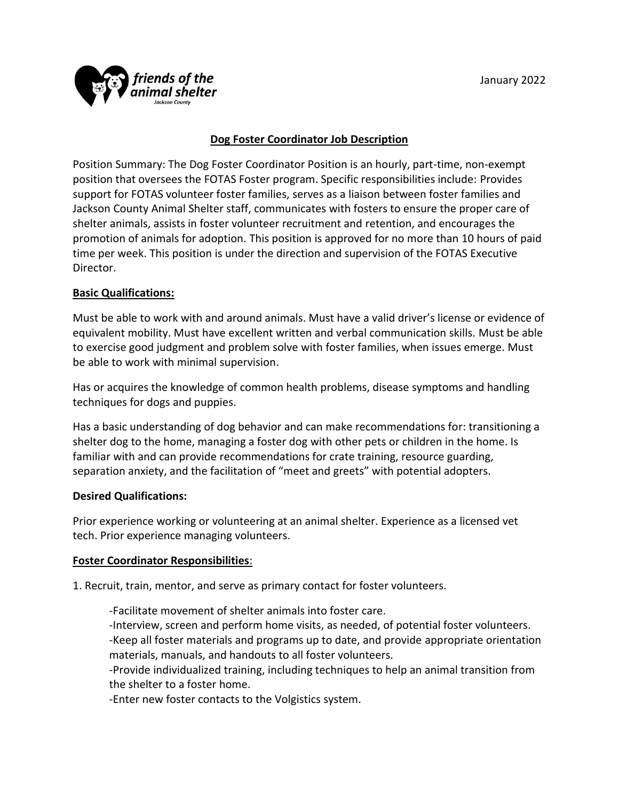

# **Dog Foster Coordinator Job Description**

Position Summary: The Dog Foster Coordinator Position is an hourly, part-time, non-exempt position that oversees the FOTAS Foster program. Specific responsibilities include: Provides support for FOTAS volunteer foster families, serves as a liaison between foster families and Jackson County Animal Shelter staff, communicates with fosters to ensure the proper care of shelter animals, assists in foster volunteer recruitment and retention, and encourages the promotion of animals for adoption. This position is approved for no more than 10 hours of paid time per week. This position is under the direction and supervision of the FOTAS Executive Director.

## **Basic Qualifications:**

Must be able to work with and around animals. Must have a valid driver's license or evidence of equivalent mobility. Must have excellent written and verbal communication skills. Must be able to exercise good judgment and problem solve with foster families, when issues emerge. Must be able to work with minimal supervision.

Has or acquires the knowledge of common health problems, disease symptoms and handling techniques for dogs and puppies.

Has a basic understanding of dog behavior and can make recommendations for: transitioning a shelter dog to the home, managing a foster dog with other pets or children in the home. Is familiar with and can provide recommendations for crate training, resource guarding, separation anxiety, and the facilitation of "meet and greets" with potential adopters.

#### **Desired Qualifications:**

Prior experience working or volunteering at an animal shelter. Experience as a licensed vet tech. Prior experience managing volunteers.

#### **Foster Coordinator Responsibilities**:

1. Recruit, train, mentor, and serve as primary contact for foster volunteers.

-Facilitate movement of shelter animals into foster care.

-Interview, screen and perform home visits, as needed, of potential foster volunteers. -Keep all foster materials and programs up to date, and provide appropriate orientation materials, manuals, and handouts to all foster volunteers.

-Provide individualized training, including techniques to help an animal transition from the shelter to a foster home.

-Enter new foster contacts to the Volgistics system.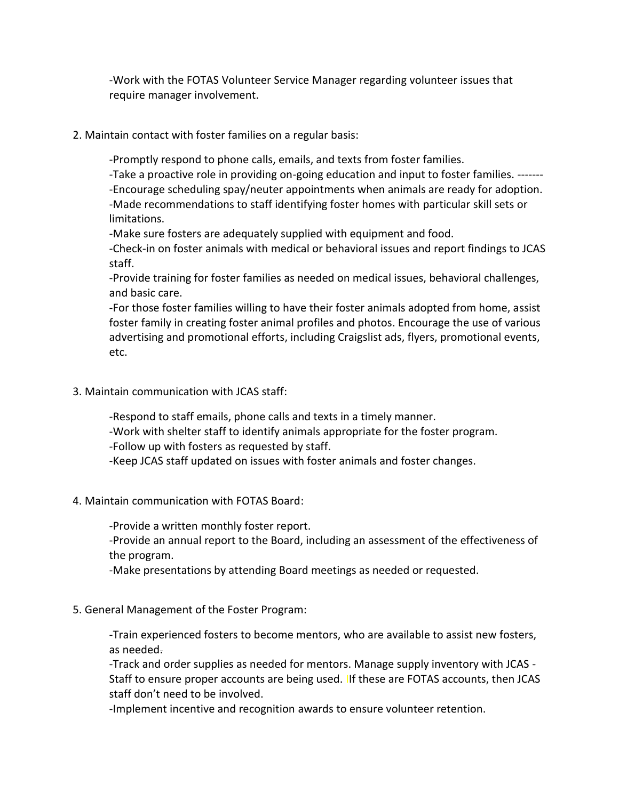-Work with the FOTAS Volunteer Service Manager regarding volunteer issues that require manager involvement.

2. Maintain contact with foster families on a regular basis:

-Promptly respond to phone calls, emails, and texts from foster families.

-Take a proactive role in providing on-going education and input to foster families. ------- -Encourage scheduling spay/neuter appointments when animals are ready for adoption. -Made recommendations to staff identifying foster homes with particular skill sets or limitations.

-Make sure fosters are adequately supplied with equipment and food.

-Check-in on foster animals with medical or behavioral issues and report findings to JCAS staff.

-Provide training for foster families as needed on medical issues, behavioral challenges, and basic care.

-For those foster families willing to have their foster animals adopted from home, assist foster family in creating foster animal profiles and photos. Encourage the use of various advertising and promotional efforts, including Craigslist ads, flyers, promotional events, etc.

3. Maintain communication with JCAS staff:

-Respond to staff emails, phone calls and texts in a timely manner.

-Work with shelter staff to identify animals appropriate for the foster program.

-Follow up with fosters as requested by staff.

-Keep JCAS staff updated on issues with foster animals and foster changes.

4. Maintain communication with FOTAS Board:

-Provide a written monthly foster report.

-Provide an annual report to the Board, including an assessment of the effectiveness of the program.

-Make presentations by attending Board meetings as needed or requested.

5. General Management of the Foster Program:

-Train experienced fosters to become mentors, who are available to assist new fosters, as needed.

-Track and order supplies as needed for mentors. Manage supply inventory with JCAS - Staff to ensure proper accounts are being used. IIf these are FOTAS accounts, then JCAS staff don't need to be involved.

-Implement incentive and recognition awards to ensure volunteer retention.